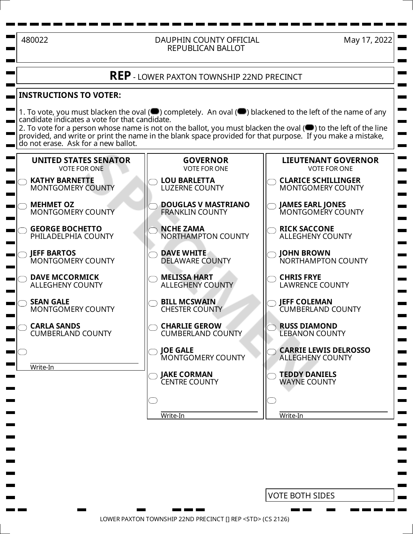## 480022 DAUPHIN COUNTY OFFICIAL REPUBLICAN BALLOT

May 17, 2022

## **REP** - LOWER PAXTON TOWNSHIP 22ND PRECINCT

## **INSTRUCTIONS TO VOTER:**

1. To vote, you must blacken the oval (●) completely. An oval (●) blackened to the left of the name of any candidate indicates a vote for that candidate.

2. To vote for a person whose name is not on the ballot, you must blacken the oval ( $\blacksquare$ ) to the left of the line provided, and write or print the name in the blank space provided for that purpose. If you make a mistake, do not erase. Ask for a new ballot.